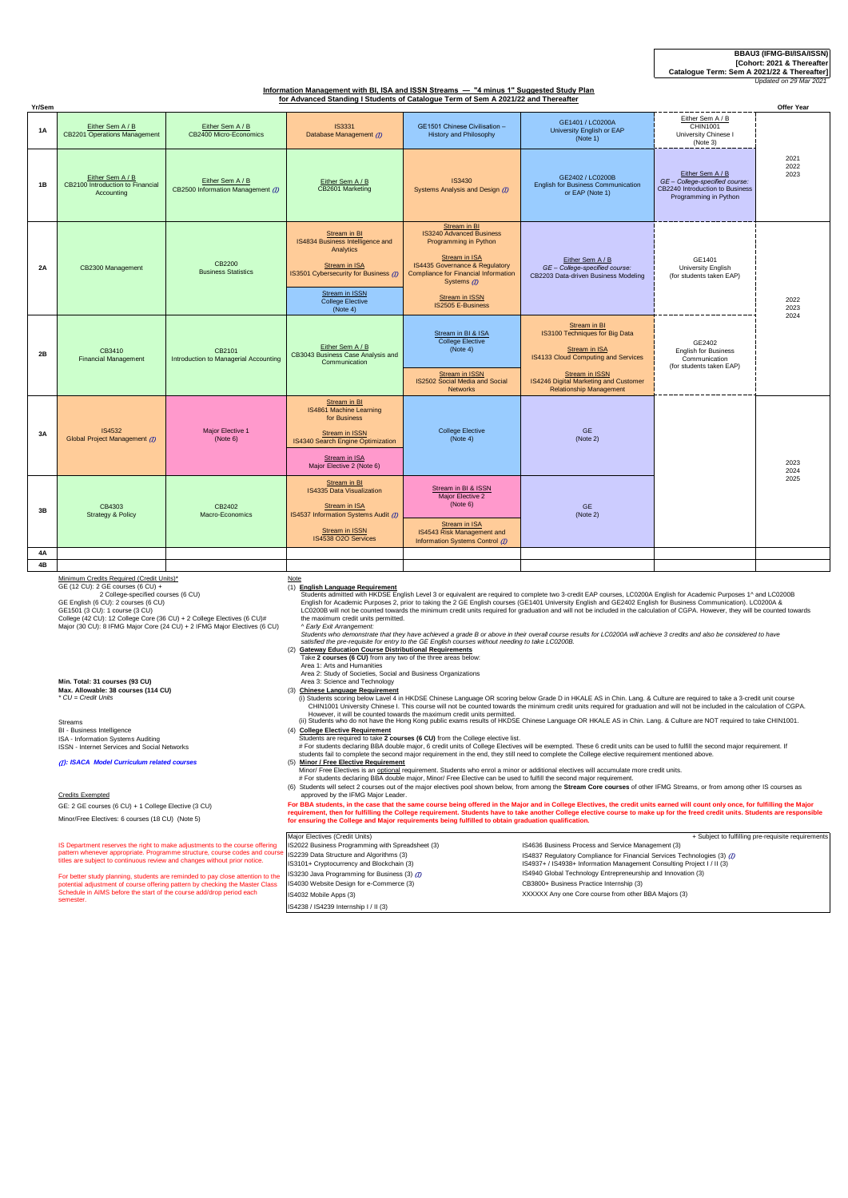### **BBAU3 (IFMG-BI/ISA/ISSN) [Cohort: 2021 & Thereafter**

**Catalogue Term: Sem A 2021/22 & Thereafter]** *Updated on 29 M* 

# **Information Management with BI, ISA and ISSN Streams — "4 minus 1" Suggested Study Plan for Advanced Standing I Students of Catalogue Term of Sem A 2021/22 and Thereafter**

| Yr/Sem |                                                                                                                                                                                                                                                                                                                                       |                                                       |                                                                                                                                                                           |                                                                                                                                                                                                                                                |                                                                                                                                                                                                            |                                                                                                                | Offer Year           |  |  |
|--------|---------------------------------------------------------------------------------------------------------------------------------------------------------------------------------------------------------------------------------------------------------------------------------------------------------------------------------------|-------------------------------------------------------|---------------------------------------------------------------------------------------------------------------------------------------------------------------------------|------------------------------------------------------------------------------------------------------------------------------------------------------------------------------------------------------------------------------------------------|------------------------------------------------------------------------------------------------------------------------------------------------------------------------------------------------------------|----------------------------------------------------------------------------------------------------------------|----------------------|--|--|
| 1A     | Either Sem A / B<br>CB2201 Operations Management                                                                                                                                                                                                                                                                                      | Either Sem A / B<br>CB2400 Micro-Economics            | <b>IS3331</b><br>Database Management (D)                                                                                                                                  | GE1501 Chinese Civilisation -<br><b>History and Philosophy</b>                                                                                                                                                                                 | GE1401 / LC0200A<br>University English or EAP<br>(Note 1)                                                                                                                                                  | Either Sem A / B<br>CHIN1001<br>University Chinese I<br>(Note 3)                                               |                      |  |  |
| 1B     | Either Sem A / B<br>CB2100 Introduction to Financial<br>Accounting                                                                                                                                                                                                                                                                    | Either Sem A / B<br>CB2500 Information Management (D) | Either Sem A / B<br>CB2601 Marketing                                                                                                                                      | IS3430<br>Systems Analysis and Design (D)                                                                                                                                                                                                      | GE2402 / LC0200B<br><b>English for Business Communication</b><br>or EAP (Note 1)                                                                                                                           | Either Sem A / B<br>GE - College-specified course:<br>CB2240 Introduction to Business<br>Programming in Python | 2021<br>2022<br>2023 |  |  |
| 2A     | CB2300 Management                                                                                                                                                                                                                                                                                                                     | CB2200<br><b>Business Statistics</b>                  | Stream in BI<br>IS4834 Business Intelligence and<br>Analytics<br>Stream in ISA<br>IS3501 Cybersecurity for Business (D)<br>Stream in ISSN<br>College Elective<br>(Note 4) | Stream in BI<br><b>IS3240 Advanced Business</b><br>Programming in Python<br>Stream in ISA<br>IS4435 Governance & Regulatory<br><b>Compliance for Financial Information</b><br>Systems $m$<br><b>Stream in ISSN</b><br><b>IS2505 E-Business</b> | Either Sem A / B<br>GE - College-specified course:<br>CB2203 Data-driven Business Modeling                                                                                                                 | GF1401<br>University English<br>(for students taken EAP)                                                       | 2022<br>2023<br>2024 |  |  |
| 2B     | CB3410<br><b>Financial Management</b>                                                                                                                                                                                                                                                                                                 | CB2101<br>Introduction to Managerial Accounting       | Either Sem A / B<br>CB3043 Business Case Analysis and<br>Communication                                                                                                    | Stream in BI & ISA<br><b>College Elective</b><br>(Note 4)<br><b>Stream in ISSN</b><br>IS2502 Social Media and Social<br><b>Networks</b>                                                                                                        | Stream in BI<br>IS3100 Techniques for Big Data<br><b>Stream in ISA</b><br>IS4133 Cloud Computing and Services<br>Stream in ISSN<br>IS4246 Digital Marketing and Customer<br><b>Relationship Management</b> | GE2402<br><b>English for Business</b><br>Communication<br>(for students taken EAP)                             |                      |  |  |
| 3A     | <b>IS4532</b><br>Global Project Management (7)                                                                                                                                                                                                                                                                                        | Major Elective 1<br>(Note 6)                          | Stream in BI<br>IS4861 Machine Learning<br>for Business<br><b>Stream in ISSN</b><br>IS4340 Search Engine Optimization<br>Stream in ISA<br>Major Elective 2 (Note 6)       | <b>College Elective</b><br>(Note 4)                                                                                                                                                                                                            | <b>GE</b><br>(Note 2)                                                                                                                                                                                      |                                                                                                                | 2023<br>2024         |  |  |
| 3B     | CB4303<br><b>Strategy &amp; Policy</b>                                                                                                                                                                                                                                                                                                | CB2402<br>Macro-Economics                             | Stream in BI<br>IS4335 Data Visualization<br>Stream in ISA<br>IS4537 Information Systems Audit (7)<br>Stream in ISSN<br>IS4538 O2O Services                               | Stream in BI & ISSN<br>Major Elective 2<br>(Note 6)<br>Stream in ISA<br>IS4543 Risk Management and<br>Information Systems Control (D)                                                                                                          | <b>GE</b><br>(Note 2)                                                                                                                                                                                      |                                                                                                                | 2025                 |  |  |
| 4A     |                                                                                                                                                                                                                                                                                                                                       |                                                       |                                                                                                                                                                           |                                                                                                                                                                                                                                                |                                                                                                                                                                                                            |                                                                                                                |                      |  |  |
| 4B     |                                                                                                                                                                                                                                                                                                                                       |                                                       |                                                                                                                                                                           |                                                                                                                                                                                                                                                |                                                                                                                                                                                                            |                                                                                                                |                      |  |  |
|        | Minimum Credits Required (Credit Units)*<br>Note<br>GE (12 CU): 2 GE courses (6 CU) +<br>(1) English Language Requirement<br>Students admitted with HKDSE English Level 3 or equivalent are required to complete two 3-credit EAP courses. LC0200A English for Academic Purposes 1^ and LC0200B<br>2 College-specified courses (6 CU) |                                                       |                                                                                                                                                                           |                                                                                                                                                                                                                                                |                                                                                                                                                                                                            |                                                                                                                |                      |  |  |

2 College-specified courses (6 CU)<br>GE English (6 CU): 2 courses (6 CU)<br>GE1501 (3 CU): 1 course (3 CU)<br>College (42 CU): 12 College Core (36 CU) + 2 College Electives (6 CU)#<br>Major (30 CU): 8 IFMG Major Core (24 CU) + 2 IFM

**Min. Total: 31 courses (93 CU) Max. Allowable: 38 courses (114 CU)** (3) **Chinese Language Requirement Mill. Total. 31 Courses (33 CO)**<br>**Max. Allowable: 38 courses (114 CU)**<br>*\* CU = Credit Units* 

Streams<br>BI - Business Intelligence<br>ISA - Information Systems Auditing<br>ISSN - Internet Services and Social Networks

(I *): ISACA Model Curriculum related courses*

Credits Exempted

GE: 2 GE courses (6 CU) + 1 College Elective (3 CU) Minor/Free Electives: 6 courses (18 CU) (Note 5)

IS Department reserves the right to make adjustments to the course offer pattern whenever appropriate. Programme structure, course codes and course titles are subject to continuous review and changes without prior notice.

For better study planning, students are reminded to pay close attention to the potential adjustment of course offering pattern by checking the Master Class<br>Schedule in AIMS before the start of the course add/drop period ea

(1) **English Language Requirement**<br>
Students admitted with HKDSE English Level 3 or equivalent are required to complete two 3-credit EAP courses, LC0200A English for Academic Purposes 1^ and LC0200B<br>
English for Academic

Area 2: Study of Societies, Social and Business Organizations<br>Area 3: Study of Societies, Social and Business Organizations

Area 3: Science and Technology

i) Students scoring below Lavel 4 in HKDSE Chinese Language OR scoring below Grade D in HKALE AS in Chin. Lang. & Culture are required to take a 3-credit unit course<br>However, it will be counted towards the maximum credit u

(4) **College Elective Requirement**

Students are required to take 2 **courses (6 CU)** from the College elective list.<br>For students related to take 2 **courses** (6 CU) from the College Electives will be exempted. These 6 credit units can be used to fulfill the

For BBA students, in the case that the same course being offered in the Major and in College Electives, the credit units earned will count only once, for fulfilling the Major<br>requirement, then for fulfilling the College re

|                  | Maior Electives (Credit Units)                       | + Subject to fulfilling pre-requisite requirements                       |  |  |  |
|------------------|------------------------------------------------------|--------------------------------------------------------------------------|--|--|--|
| ng               | IS2022 Business Programming with Spreadsheet (3)     | IS4636 Business Process and Service Management (3)                       |  |  |  |
|                  | <b>urse</b> IS2239 Data Structure and Algorithms (3) | IS4837 Regulatory Compliance for Financial Services Technologies (3) (7) |  |  |  |
| the<br><b>SS</b> | IS3101+ Cryptocurrency and Blockchain (3)            | IS4937+ / IS4938+ Information Management Consulting Project I / II (3)   |  |  |  |
|                  | IS3230 Java Programming for Business (3) (7)         | IS4940 Global Technology Entrepreneurship and Innovation (3)             |  |  |  |
|                  | IS4030 Website Design for e-Commerce (3)             | CB3800+ Business Practice Internship (3)                                 |  |  |  |
|                  | IS4032 Mobile Apps (3)                               | XXXXXX Any one Core course from other BBA Majors (3)                     |  |  |  |
|                  | IS4238 / IS4239 Internship I / II (3)                |                                                                          |  |  |  |